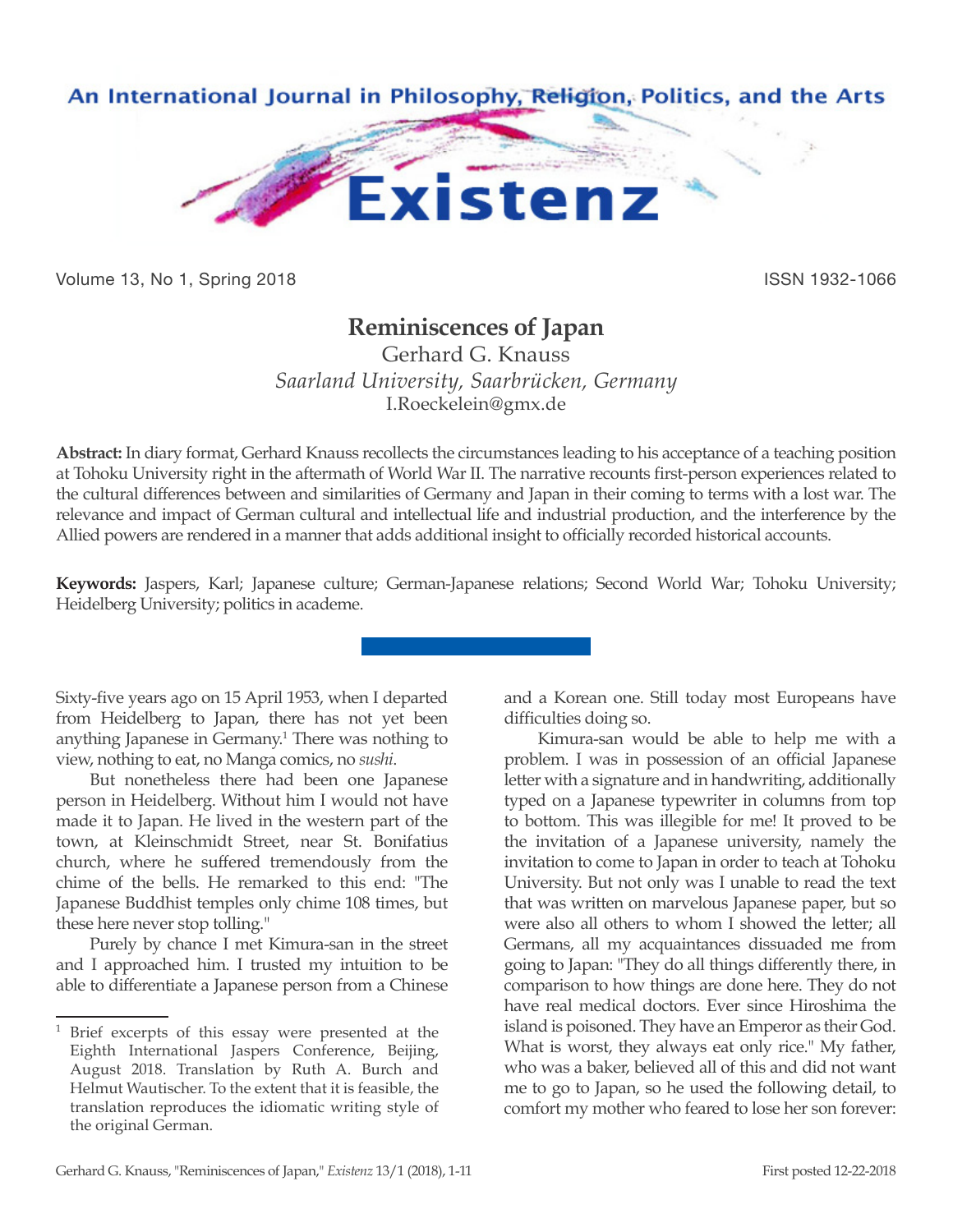

Volume 13, No 1, Spring 2018 **ISSN 1932-1066** ISSN 1932-1066

## **Reminiscences of Japan**

Gerhard G. Knauss *Saarland University, Saarbrücken, Germany* I.Roeckelein@gmx.de

**Abstract:** In diary format, Gerhard Knauss recollects the circumstances leading to his acceptance of a teaching position at Tohoku University right in the aftermath of World War II. The narrative recounts first-person experiences related to the cultural differences between and similarities of Germany and Japan in their coming to terms with a lost war. The relevance and impact of German cultural and intellectual life and industrial production, and the interference by the Allied powers are rendered in a manner that adds additional insight to officially recorded historical accounts.

**Keywords:** Jaspers, Karl; Japanese culture; German-Japanese relations; Second World War; Tohoku University; Heidelberg University; politics in academe.

Sixty-five years ago on 15 April 1953, when I departed from Heidelberg to Japan, there has not yet been anything Japanese in Germany.<sup>1</sup> There was nothing to view, nothing to eat, no Manga comics, no *sushi*.

But nonetheless there had been one Japanese person in Heidelberg. Without him I would not have made it to Japan. He lived in the western part of the town, at Kleinschmidt Street, near St. Bonifatius church, where he suffered tremendously from the chime of the bells. He remarked to this end: "The Japanese Buddhist temples only chime 108 times, but these here never stop tolling."

Purely by chance I met Kimura-san in the street and I approached him. I trusted my intuition to be able to differentiate a Japanese person from a Chinese and a Korean one. Still today most Europeans have difficulties doing so.

Kimura-san would be able to help me with a problem. I was in possession of an official Japanese letter with a signature and in handwriting, additionally typed on a Japanese typewriter in columns from top to bottom. This was illegible for me! It proved to be the invitation of a Japanese university, namely the invitation to come to Japan in order to teach at Tohoku University. But not only was I unable to read the text that was written on marvelous Japanese paper, but so were also all others to whom I showed the letter; all Germans, all my acquaintances dissuaded me from going to Japan: "They do all things differently there, in comparison to how things are done here. They do not have real medical doctors. Ever since Hiroshima the island is poisoned. They have an Emperor as their God. What is worst, they always eat only rice." My father, who was a baker, believed all of this and did not want me to go to Japan, so he used the following detail, to comfort my mother who feared to lose her son forever:

<sup>1</sup> Brief excerpts of this essay were presented at the Eighth International Jaspers Conference, Beijing, August 2018. Translation by Ruth A. Burch and Helmut Wautischer. To the extent that it is feasible, the translation reproduces the idiomatic writing style of the original German.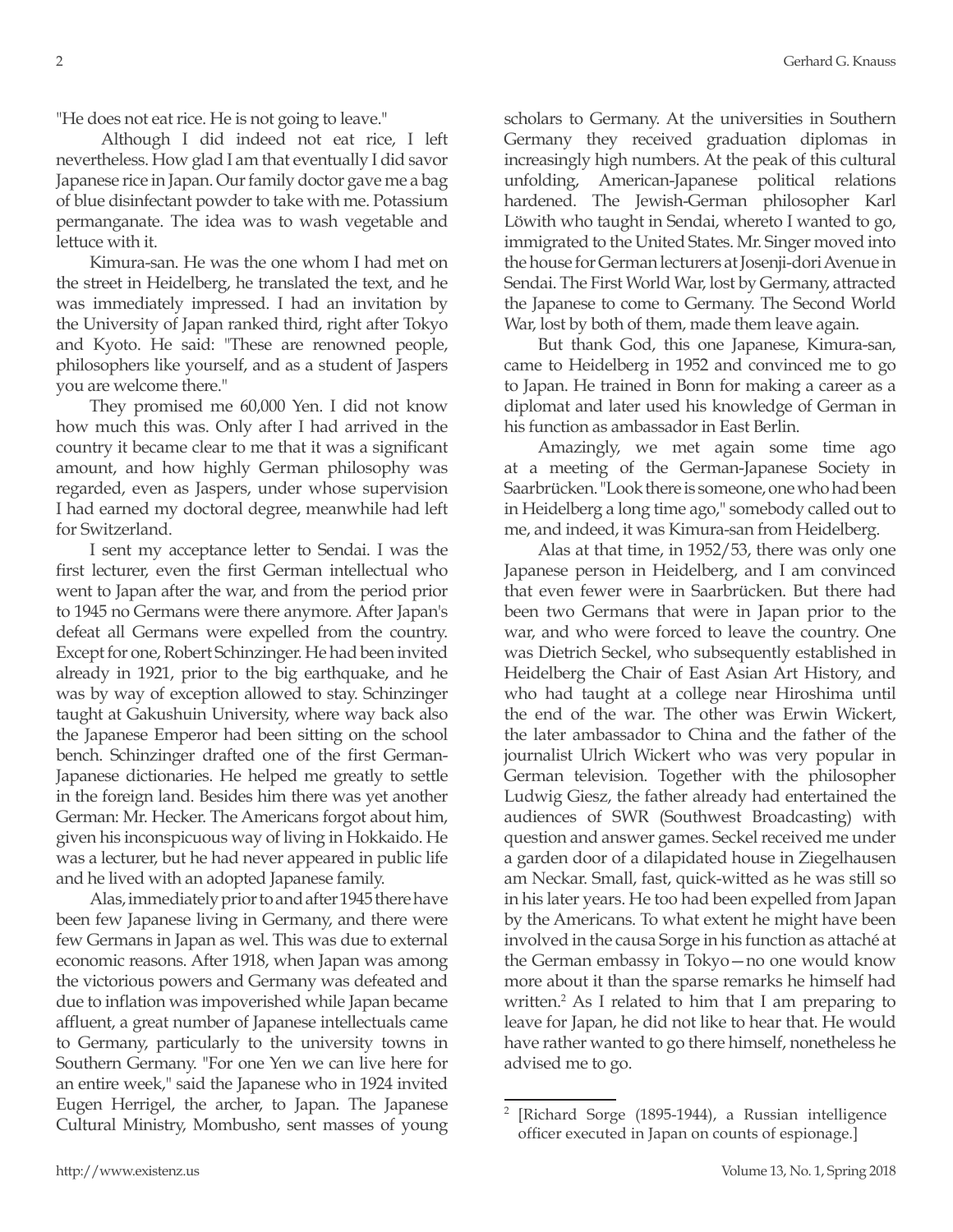"He does not eat rice. He is not going to leave."

 Although I did indeed not eat rice, I left nevertheless. How glad I am that eventually I did savor Japanese rice in Japan. Our family doctor gave me a bag of blue disinfectant powder to take with me. Potassium permanganate. The idea was to wash vegetable and lettuce with it.

Kimura-san. He was the one whom I had met on the street in Heidelberg, he translated the text, and he was immediately impressed. I had an invitation by the University of Japan ranked third, right after Tokyo and Kyoto. He said: "These are renowned people, philosophers like yourself, and as a student of Jaspers you are welcome there."

They promised me 60,000 Yen. I did not know how much this was. Only after I had arrived in the country it became clear to me that it was a significant amount, and how highly German philosophy was regarded, even as Jaspers, under whose supervision I had earned my doctoral degree, meanwhile had left for Switzerland.

I sent my acceptance letter to Sendai. I was the first lecturer, even the first German intellectual who went to Japan after the war, and from the period prior to 1945 no Germans were there anymore. After Japan's defeat all Germans were expelled from the country. Except for one, Robert Schinzinger. He had been invited already in 1921, prior to the big earthquake, and he was by way of exception allowed to stay. Schinzinger taught at Gakushuin University, where way back also the Japanese Emperor had been sitting on the school bench. Schinzinger drafted one of the first German-Japanese dictionaries. He helped me greatly to settle in the foreign land. Besides him there was yet another German: Mr. Hecker. The Americans forgot about him, given his inconspicuous way of living in Hokkaido. He was a lecturer, but he had never appeared in public life and he lived with an adopted Japanese family.

Alas, immediately prior to and after 1945 there have been few Japanese living in Germany, and there were few Germans in Japan as wel. This was due to external economic reasons. After 1918, when Japan was among the victorious powers and Germany was defeated and due to inflation was impoverished while Japan became affluent, a great number of Japanese intellectuals came to Germany, particularly to the university towns in Southern Germany. "For one Yen we can live here for an entire week," said the Japanese who in 1924 invited Eugen Herrigel, the archer, to Japan. The Japanese Cultural Ministry, Mombusho, sent masses of young

scholars to Germany. At the universities in Southern Germany they received graduation diplomas in increasingly high numbers. At the peak of this cultural unfolding, American-Japanese political relations hardened. The Jewish-German philosopher Karl Löwith who taught in Sendai, whereto I wanted to go, immigrated to the United States. Mr. Singer moved into the house for German lecturers at Josenji-dori Avenue in Sendai. The First World War, lost by Germany, attracted the Japanese to come to Germany. The Second World War, lost by both of them, made them leave again.

But thank God, this one Japanese, Kimura-san, came to Heidelberg in 1952 and convinced me to go to Japan. He trained in Bonn for making a career as a diplomat and later used his knowledge of German in his function as ambassador in East Berlin.

Amazingly, we met again some time ago at a meeting of the German-Japanese Society in Saarbrücken. "Look there is someone, one who had been in Heidelberg a long time ago," somebody called out to me, and indeed, it was Kimura-san from Heidelberg.

Alas at that time, in 1952/53, there was only one Japanese person in Heidelberg, and I am convinced that even fewer were in Saarbrücken. But there had been two Germans that were in Japan prior to the war, and who were forced to leave the country. One was Dietrich Seckel, who subsequently established in Heidelberg the Chair of East Asian Art History, and who had taught at a college near Hiroshima until the end of the war. The other was Erwin Wickert, the later ambassador to China and the father of the journalist Ulrich Wickert who was very popular in German television. Together with the philosopher Ludwig Giesz, the father already had entertained the audiences of SWR (Southwest Broadcasting) with question and answer games. Seckel received me under a garden door of a dilapidated house in Ziegelhausen am Neckar. Small, fast, quick-witted as he was still so in his later years. He too had been expelled from Japan by the Americans. To what extent he might have been involved in the causa Sorge in his function as attaché at the German embassy in Tokyo—no one would know more about it than the sparse remarks he himself had written.<sup>2</sup> As I related to him that I am preparing to leave for Japan, he did not like to hear that. He would have rather wanted to go there himself, nonetheless he advised me to go.

<sup>[</sup>Richard Sorge (1895-1944), a Russian intelligence officer executed in Japan on counts of espionage.]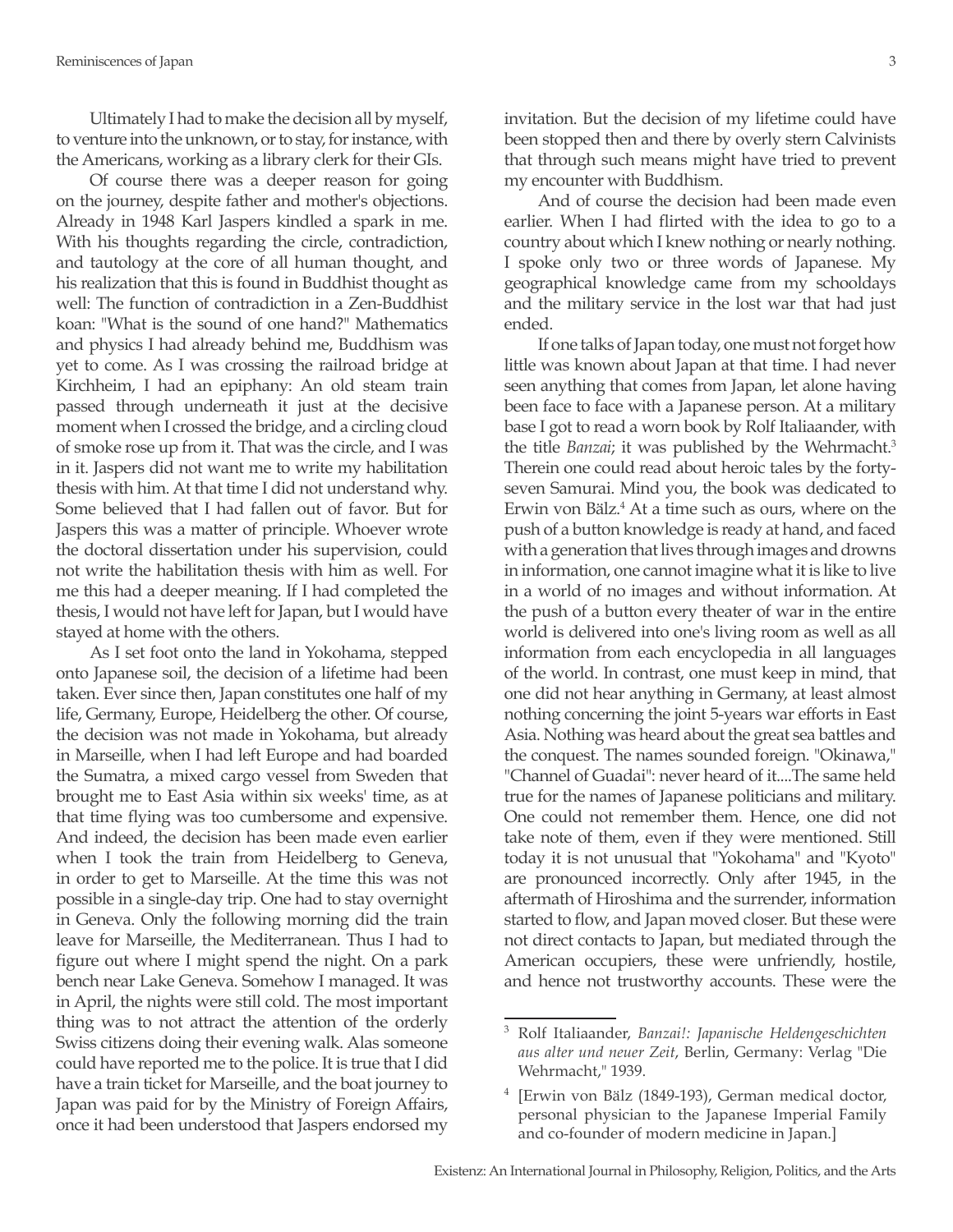Ultimately I had to make the decision all by myself, to venture into the unknown, or to stay, for instance, with the Americans, working as a library clerk for their GIs.

Of course there was a deeper reason for going on the journey, despite father and mother's objections. Already in 1948 Karl Jaspers kindled a spark in me. With his thoughts regarding the circle, contradiction, and tautology at the core of all human thought, and his realization that this is found in Buddhist thought as well: The function of contradiction in a Zen-Buddhist koan: "What is the sound of one hand?" Mathematics and physics I had already behind me, Buddhism was yet to come. As I was crossing the railroad bridge at Kirchheim, I had an epiphany: An old steam train passed through underneath it just at the decisive moment when I crossed the bridge, and a circling cloud of smoke rose up from it. That was the circle, and I was in it. Jaspers did not want me to write my habilitation thesis with him. At that time I did not understand why. Some believed that I had fallen out of favor. But for Jaspers this was a matter of principle. Whoever wrote the doctoral dissertation under his supervision, could not write the habilitation thesis with him as well. For me this had a deeper meaning. If I had completed the thesis, I would not have left for Japan, but I would have stayed at home with the others.

As I set foot onto the land in Yokohama, stepped onto Japanese soil, the decision of a lifetime had been taken. Ever since then, Japan constitutes one half of my life, Germany, Europe, Heidelberg the other. Of course, the decision was not made in Yokohama, but already in Marseille, when I had left Europe and had boarded the Sumatra, a mixed cargo vessel from Sweden that brought me to East Asia within six weeks' time, as at that time flying was too cumbersome and expensive. And indeed, the decision has been made even earlier when I took the train from Heidelberg to Geneva, in order to get to Marseille. At the time this was not possible in a single-day trip. One had to stay overnight in Geneva. Only the following morning did the train leave for Marseille, the Mediterranean. Thus I had to figure out where I might spend the night. On a park bench near Lake Geneva. Somehow I managed. It was in April, the nights were still cold. The most important thing was to not attract the attention of the orderly Swiss citizens doing their evening walk. Alas someone could have reported me to the police. It is true that I did have a train ticket for Marseille, and the boat journey to Japan was paid for by the Ministry of Foreign Affairs, once it had been understood that Jaspers endorsed my

invitation. But the decision of my lifetime could have been stopped then and there by overly stern Calvinists that through such means might have tried to prevent my encounter with Buddhism.

And of course the decision had been made even earlier. When I had flirted with the idea to go to a country about which I knew nothing or nearly nothing. I spoke only two or three words of Japanese. My geographical knowledge came from my schooldays and the military service in the lost war that had just ended.

If one talks of Japan today, one must not forget how little was known about Japan at that time. I had never seen anything that comes from Japan, let alone having been face to face with a Japanese person. At a military base I got to read a worn book by Rolf Italiaander, with the title *Banzai*; it was published by the Wehrmacht.<sup>3</sup> Therein one could read about heroic tales by the fortyseven Samurai. Mind you, the book was dedicated to Erwin von Bälz.<sup>4</sup> At a time such as ours, where on the push of a button knowledge is ready at hand, and faced with a generation that lives through images and drowns in information, one cannot imagine what it is like to live in a world of no images and without information. At the push of a button every theater of war in the entire world is delivered into one's living room as well as all information from each encyclopedia in all languages of the world. In contrast, one must keep in mind, that one did not hear anything in Germany, at least almost nothing concerning the joint 5-years war efforts in East Asia. Nothing was heard about the great sea battles and the conquest. The names sounded foreign. "Okinawa," "Channel of Guadai": never heard of it....The same held true for the names of Japanese politicians and military. One could not remember them. Hence, one did not take note of them, even if they were mentioned. Still today it is not unusual that "Yokohama" and "Kyoto" are pronounced incorrectly. Only after 1945, in the aftermath of Hiroshima and the surrender, information started to flow, and Japan moved closer. But these were not direct contacts to Japan, but mediated through the American occupiers, these were unfriendly, hostile, and hence not trustworthy accounts. These were the

<sup>3</sup> Rolf Italiaander, *Banzai!: Japanische Heldengeschichten aus alter und neuer Zeit*, Berlin, Germany: Verlag "Die Wehrmacht," 1939.

<sup>4</sup> [Erwin von Bälz (1849-193), German medical doctor, personal physician to the Japanese Imperial Family and co-founder of modern medicine in Japan.]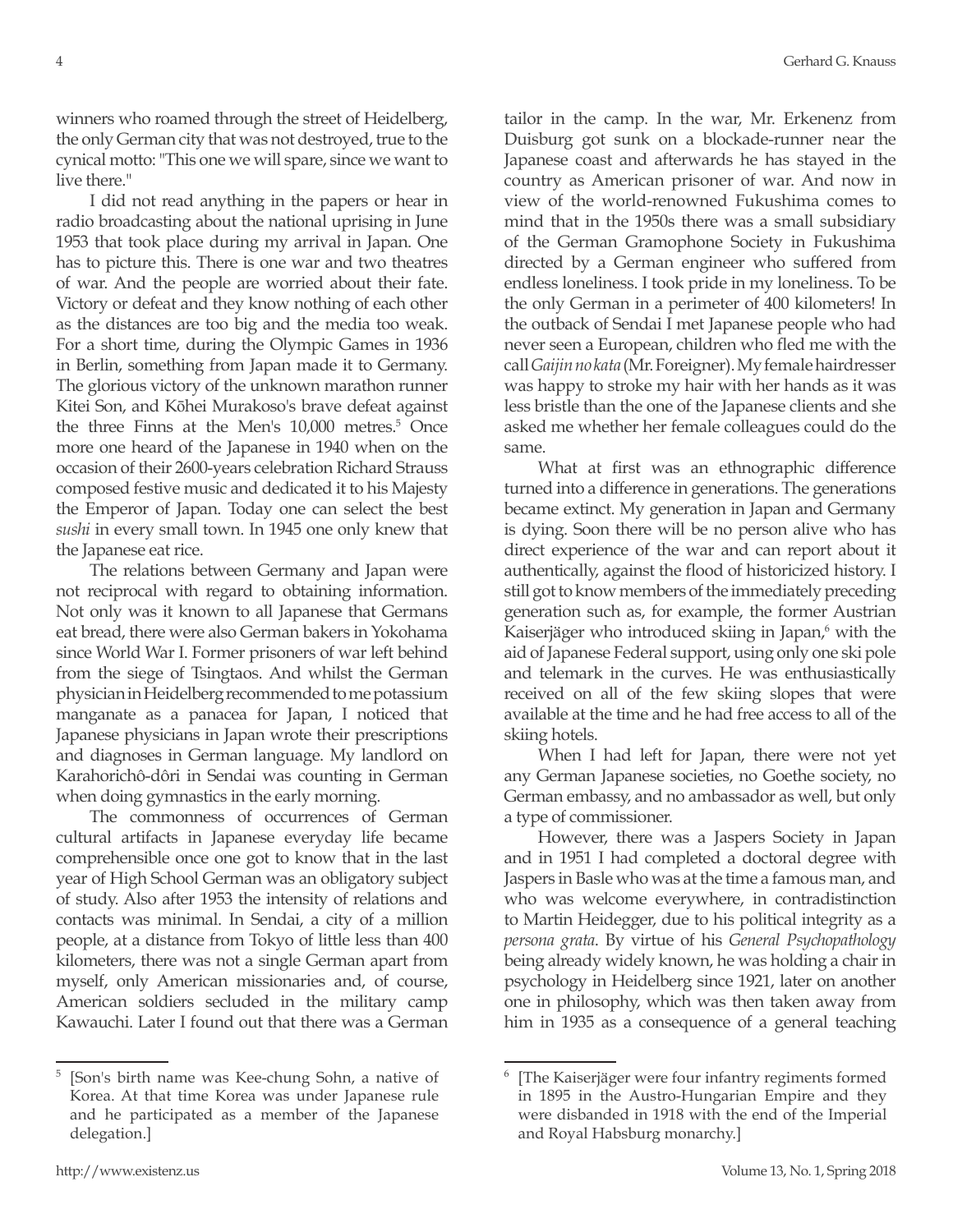winners who roamed through the street of Heidelberg, the only German city that was not destroyed, true to the cynical motto: "This one we will spare, since we want to live there."

I did not read anything in the papers or hear in radio broadcasting about the national uprising in June 1953 that took place during my arrival in Japan. One has to picture this. There is one war and two theatres of war. And the people are worried about their fate. Victory or defeat and they know nothing of each other as the distances are too big and the media too weak. For a short time, during the Olympic Games in 1936 in Berlin, something from Japan made it to Germany. The glorious victory of the unknown marathon runner Kitei Son, and Kōhei Murakoso's brave defeat against the three Finns at the Men's 10,000 metres.<sup>5</sup> Once more one heard of the Japanese in 1940 when on the occasion of their 2600-years celebration Richard Strauss composed festive music and dedicated it to his Majesty the Emperor of Japan. Today one can select the best *sushi* in every small town. In 1945 one only knew that the Japanese eat rice.

The relations between Germany and Japan were not reciprocal with regard to obtaining information. Not only was it known to all Japanese that Germans eat bread, there were also German bakers in Yokohama since World War I. Former prisoners of war left behind from the siege of Tsingtaos. And whilst the German physician in Heidelberg recommended to me potassium manganate as a panacea for Japan, I noticed that Japanese physicians in Japan wrote their prescriptions and diagnoses in German language. My landlord on Karahorichô-dôri in Sendai was counting in German when doing gymnastics in the early morning.

The commonness of occurrences of German cultural artifacts in Japanese everyday life became comprehensible once one got to know that in the last year of High School German was an obligatory subject of study. Also after 1953 the intensity of relations and contacts was minimal. In Sendai, a city of a million people, at a distance from Tokyo of little less than 400 kilometers, there was not a single German apart from myself, only American missionaries and, of course, American soldiers secluded in the military camp Kawauchi. Later I found out that there was a German tailor in the camp. In the war, Mr. Erkenenz from Duisburg got sunk on a blockade-runner near the Japanese coast and afterwards he has stayed in the country as American prisoner of war. And now in view of the world-renowned Fukushima comes to mind that in the 1950s there was a small subsidiary of the German Gramophone Society in Fukushima directed by a German engineer who suffered from endless loneliness. I took pride in my loneliness. To be the only German in a perimeter of 400 kilometers! In the outback of Sendai I met Japanese people who had never seen a European, children who fled me with the call *Gaijin no kata* (Mr. Foreigner). My female hairdresser was happy to stroke my hair with her hands as it was less bristle than the one of the Japanese clients and she asked me whether her female colleagues could do the same.

What at first was an ethnographic difference turned into a difference in generations. The generations became extinct. My generation in Japan and Germany is dying. Soon there will be no person alive who has direct experience of the war and can report about it authentically, against the flood of historicized history. I still got to know members of the immediately preceding generation such as, for example, the former Austrian Kaiserjäger who introduced skiing in Japan,<sup>6</sup> with the aid of Japanese Federal support, using only one ski pole and telemark in the curves. He was enthusiastically received on all of the few skiing slopes that were available at the time and he had free access to all of the skiing hotels.

When I had left for Japan, there were not yet any German Japanese societies, no Goethe society, no German embassy, and no ambassador as well, but only a type of commissioner.

However, there was a Jaspers Society in Japan and in 1951 I had completed a doctoral degree with Jaspers in Basle who was at the time a famous man, and who was welcome everywhere, in contradistinction to Martin Heidegger, due to his political integrity as a *persona grata*. By virtue of his *General Psychopathology* being already widely known, he was holding a chair in psychology in Heidelberg since 1921, later on another one in philosophy, which was then taken away from him in 1935 as a consequence of a general teaching

<sup>5</sup> [Son's birth name was Kee-chung Sohn, a native of Korea. At that time Korea was under Japanese rule and he participated as a member of the Japanese delegation.]

<sup>6</sup> [The Kaiserjäger were four infantry regiments formed in 1895 in the Austro-Hungarian Empire and they were disbanded in 1918 with the end of the Imperial and Royal Habsburg monarchy.]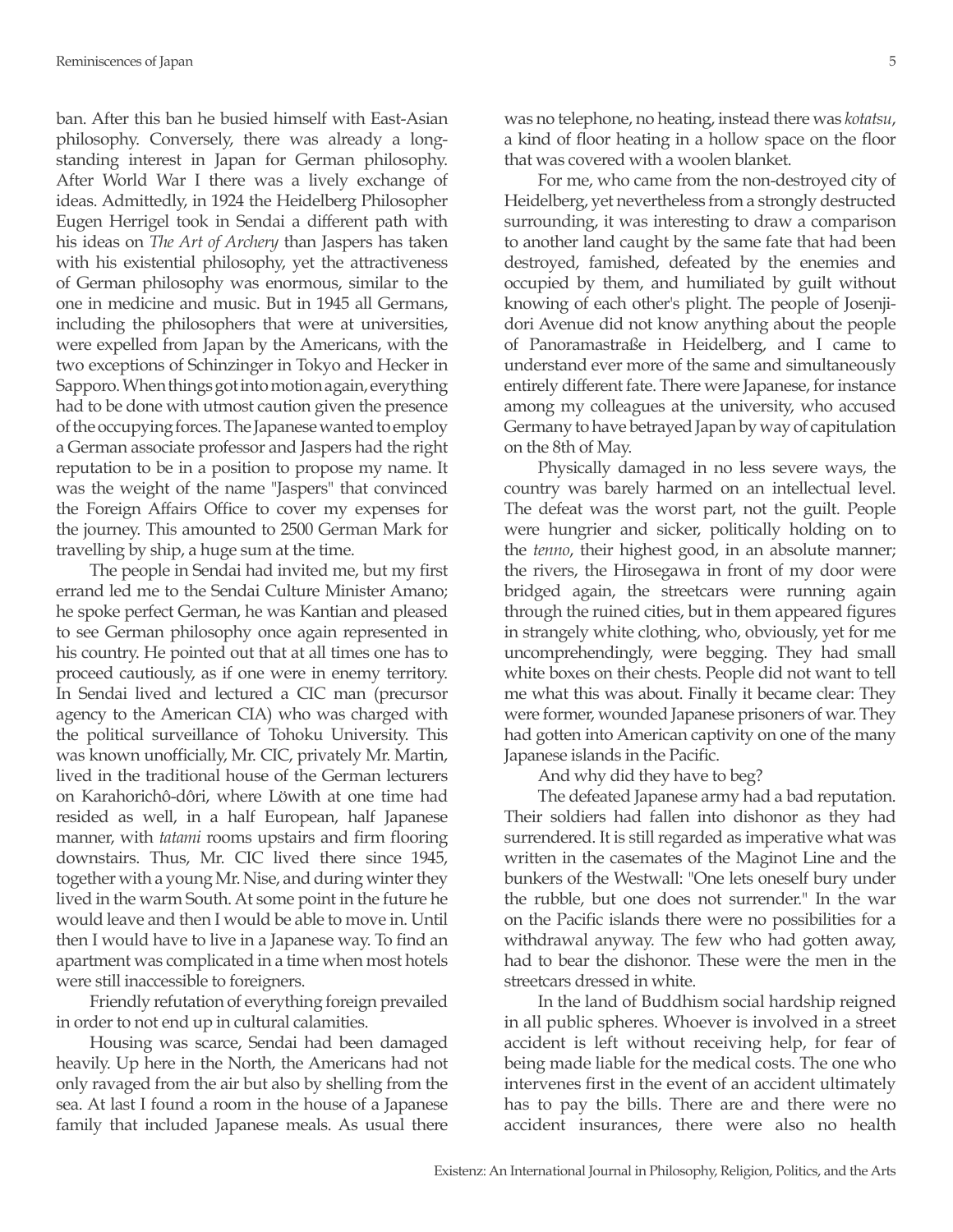ban. After this ban he busied himself with East-Asian philosophy. Conversely, there was already a longstanding interest in Japan for German philosophy. After World War I there was a lively exchange of ideas. Admittedly, in 1924 the Heidelberg Philosopher Eugen Herrigel took in Sendai a different path with his ideas on *The Art of Archery* than Jaspers has taken with his existential philosophy, yet the attractiveness of German philosophy was enormous, similar to the one in medicine and music. But in 1945 all Germans, including the philosophers that were at universities, were expelled from Japan by the Americans, with the two exceptions of Schinzinger in Tokyo and Hecker in Sapporo. When things got into motion again, everything had to be done with utmost caution given the presence of the occupying forces. The Japanese wanted to employ a German associate professor and Jaspers had the right reputation to be in a position to propose my name. It was the weight of the name "Jaspers" that convinced the Foreign Affairs Office to cover my expenses for the journey. This amounted to 2500 German Mark for travelling by ship, a huge sum at the time.

The people in Sendai had invited me, but my first errand led me to the Sendai Culture Minister Amano; he spoke perfect German, he was Kantian and pleased to see German philosophy once again represented in his country. He pointed out that at all times one has to proceed cautiously, as if one were in enemy territory. In Sendai lived and lectured a CIC man (precursor agency to the American CIA) who was charged with the political surveillance of Tohoku University. This was known unofficially, Mr. CIC, privately Mr. Martin, lived in the traditional house of the German lecturers on Karahorichô-dôri, where Löwith at one time had resided as well, in a half European, half Japanese manner, with *tatami* rooms upstairs and firm flooring downstairs. Thus, Mr. CIC lived there since 1945, together with a young Mr. Nise, and during winter they lived in the warm South. At some point in the future he would leave and then I would be able to move in. Until then I would have to live in a Japanese way. To find an apartment was complicated in a time when most hotels were still inaccessible to foreigners.

Friendly refutation of everything foreign prevailed in order to not end up in cultural calamities.

Housing was scarce, Sendai had been damaged heavily. Up here in the North, the Americans had not only ravaged from the air but also by shelling from the sea. At last I found a room in the house of a Japanese family that included Japanese meals. As usual there

was no telephone, no heating, instead there was *kotatsu*, a kind of floor heating in a hollow space on the floor that was covered with a woolen blanket.

For me, who came from the non-destroyed city of Heidelberg, yet nevertheless from a strongly destructed surrounding, it was interesting to draw a comparison to another land caught by the same fate that had been destroyed, famished, defeated by the enemies and occupied by them, and humiliated by guilt without knowing of each other's plight. The people of Josenjidori Avenue did not know anything about the people of Panoramastraße in Heidelberg, and I came to understand ever more of the same and simultaneously entirely different fate. There were Japanese, for instance among my colleagues at the university, who accused Germany to have betrayed Japan by way of capitulation on the 8th of May.

Physically damaged in no less severe ways, the country was barely harmed on an intellectual level. The defeat was the worst part, not the guilt. People were hungrier and sicker, politically holding on to the *tenno*, their highest good, in an absolute manner; the rivers, the Hirosegawa in front of my door were bridged again, the streetcars were running again through the ruined cities, but in them appeared figures in strangely white clothing, who, obviously, yet for me uncomprehendingly, were begging. They had small white boxes on their chests. People did not want to tell me what this was about. Finally it became clear: They were former, wounded Japanese prisoners of war. They had gotten into American captivity on one of the many Japanese islands in the Pacific.

And why did they have to beg?

The defeated Japanese army had a bad reputation. Their soldiers had fallen into dishonor as they had surrendered. It is still regarded as imperative what was written in the casemates of the Maginot Line and the bunkers of the Westwall: "One lets oneself bury under the rubble, but one does not surrender." In the war on the Pacific islands there were no possibilities for a withdrawal anyway. The few who had gotten away, had to bear the dishonor. These were the men in the streetcars dressed in white.

In the land of Buddhism social hardship reigned in all public spheres. Whoever is involved in a street accident is left without receiving help, for fear of being made liable for the medical costs. The one who intervenes first in the event of an accident ultimately has to pay the bills. There are and there were no accident insurances, there were also no health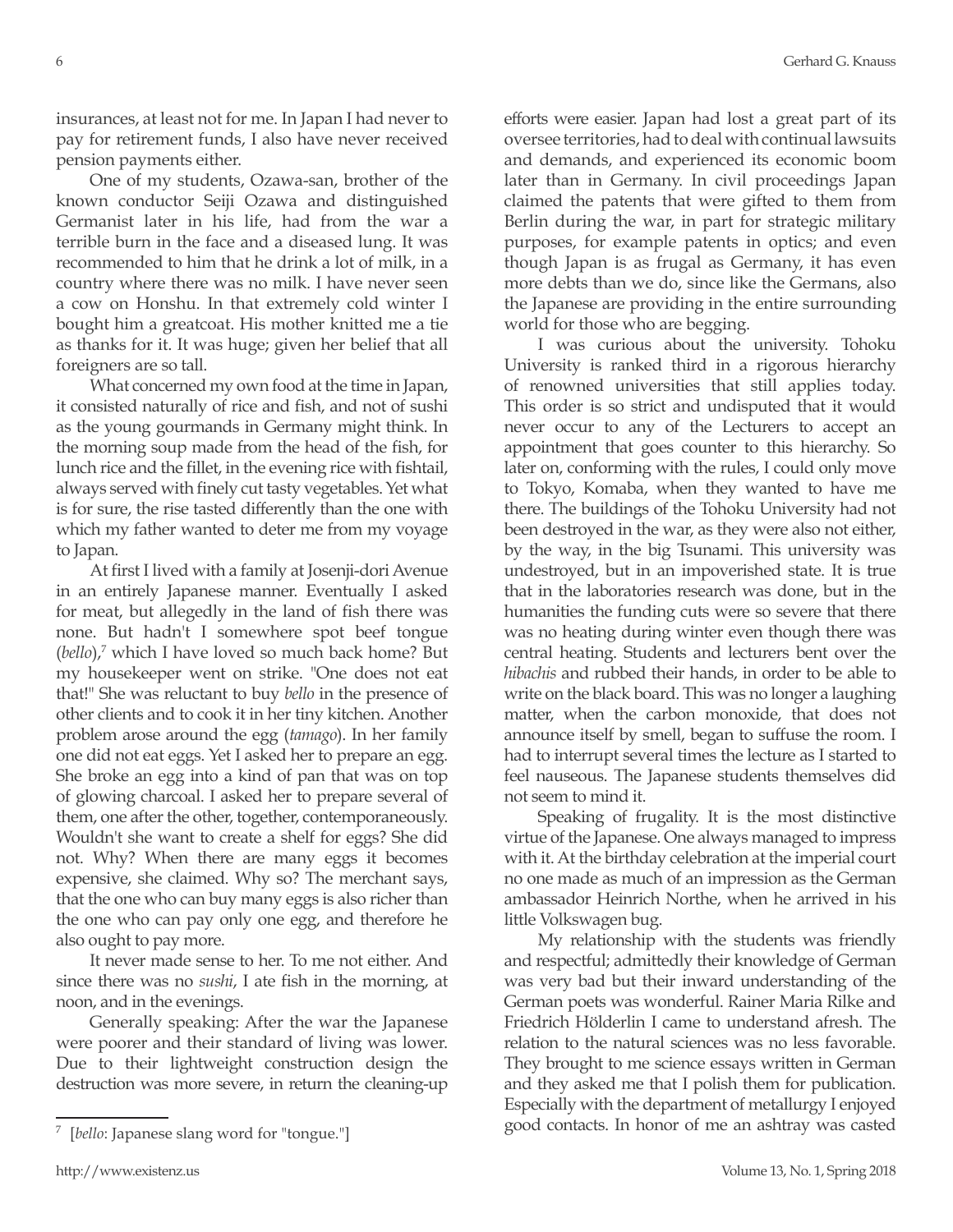insurances, at least not for me. In Japan I had never to pay for retirement funds, I also have never received pension payments either.

One of my students, Ozawa-san, brother of the known conductor Seiji Ozawa and distinguished Germanist later in his life, had from the war a terrible burn in the face and a diseased lung. It was recommended to him that he drink a lot of milk, in a country where there was no milk. I have never seen a cow on Honshu. In that extremely cold winter I bought him a greatcoat. His mother knitted me a tie as thanks for it. It was huge; given her belief that all foreigners are so tall.

What concerned my own food at the time in Japan, it consisted naturally of rice and fish, and not of sushi as the young gourmands in Germany might think. In the morning soup made from the head of the fish, for lunch rice and the fillet, in the evening rice with fishtail, always served with finely cut tasty vegetables. Yet what is for sure, the rise tasted differently than the one with which my father wanted to deter me from my voyage to Japan.

At first I lived with a family at Josenji-dori Avenue in an entirely Japanese manner. Eventually I asked for meat, but allegedly in the land of fish there was none. But hadn't I somewhere spot beef tongue (*bello*),<sup>7</sup> which I have loved so much back home? But my housekeeper went on strike. "One does not eat that!" She was reluctant to buy *bello* in the presence of other clients and to cook it in her tiny kitchen. Another problem arose around the egg (*tamago*). In her family one did not eat eggs. Yet I asked her to prepare an egg. She broke an egg into a kind of pan that was on top of glowing charcoal. I asked her to prepare several of them, one after the other, together, contemporaneously. Wouldn't she want to create a shelf for eggs? She did not. Why? When there are many eggs it becomes expensive, she claimed. Why so? The merchant says, that the one who can buy many eggs is also richer than the one who can pay only one egg, and therefore he also ought to pay more.

It never made sense to her. To me not either. And since there was no *sushi*, I ate fish in the morning, at noon, and in the evenings.

Generally speaking: After the war the Japanese were poorer and their standard of living was lower. Due to their lightweight construction design the destruction was more severe, in return the cleaning-up efforts were easier. Japan had lost a great part of its oversee territories, had to deal with continual lawsuits and demands, and experienced its economic boom later than in Germany. In civil proceedings Japan claimed the patents that were gifted to them from Berlin during the war, in part for strategic military purposes, for example patents in optics; and even though Japan is as frugal as Germany, it has even more debts than we do, since like the Germans, also the Japanese are providing in the entire surrounding world for those who are begging.

I was curious about the university. Tohoku University is ranked third in a rigorous hierarchy of renowned universities that still applies today. This order is so strict and undisputed that it would never occur to any of the Lecturers to accept an appointment that goes counter to this hierarchy. So later on, conforming with the rules, I could only move to Tokyo, Komaba, when they wanted to have me there. The buildings of the Tohoku University had not been destroyed in the war, as they were also not either, by the way, in the big Tsunami. This university was undestroyed, but in an impoverished state. It is true that in the laboratories research was done, but in the humanities the funding cuts were so severe that there was no heating during winter even though there was central heating. Students and lecturers bent over the *hibachis* and rubbed their hands, in order to be able to write on the black board. This was no longer a laughing matter, when the carbon monoxide, that does not announce itself by smell, began to suffuse the room. I had to interrupt several times the lecture as I started to feel nauseous. The Japanese students themselves did not seem to mind it.

Speaking of frugality. It is the most distinctive virtue of the Japanese. One always managed to impress with it. At the birthday celebration at the imperial court no one made as much of an impression as the German ambassador Heinrich Northe, when he arrived in his little Volkswagen bug.

My relationship with the students was friendly and respectful; admittedly their knowledge of German was very bad but their inward understanding of the German poets was wonderful. Rainer Maria Rilke and Friedrich Hölderlin I came to understand afresh. The relation to the natural sciences was no less favorable. They brought to me science essays written in German and they asked me that I polish them for publication. Especially with the department of metallurgy I enjoyed good contacts. In honor of me an ashtray was casted

<sup>[</sup>*bello*: Japanese slang word for "tongue."]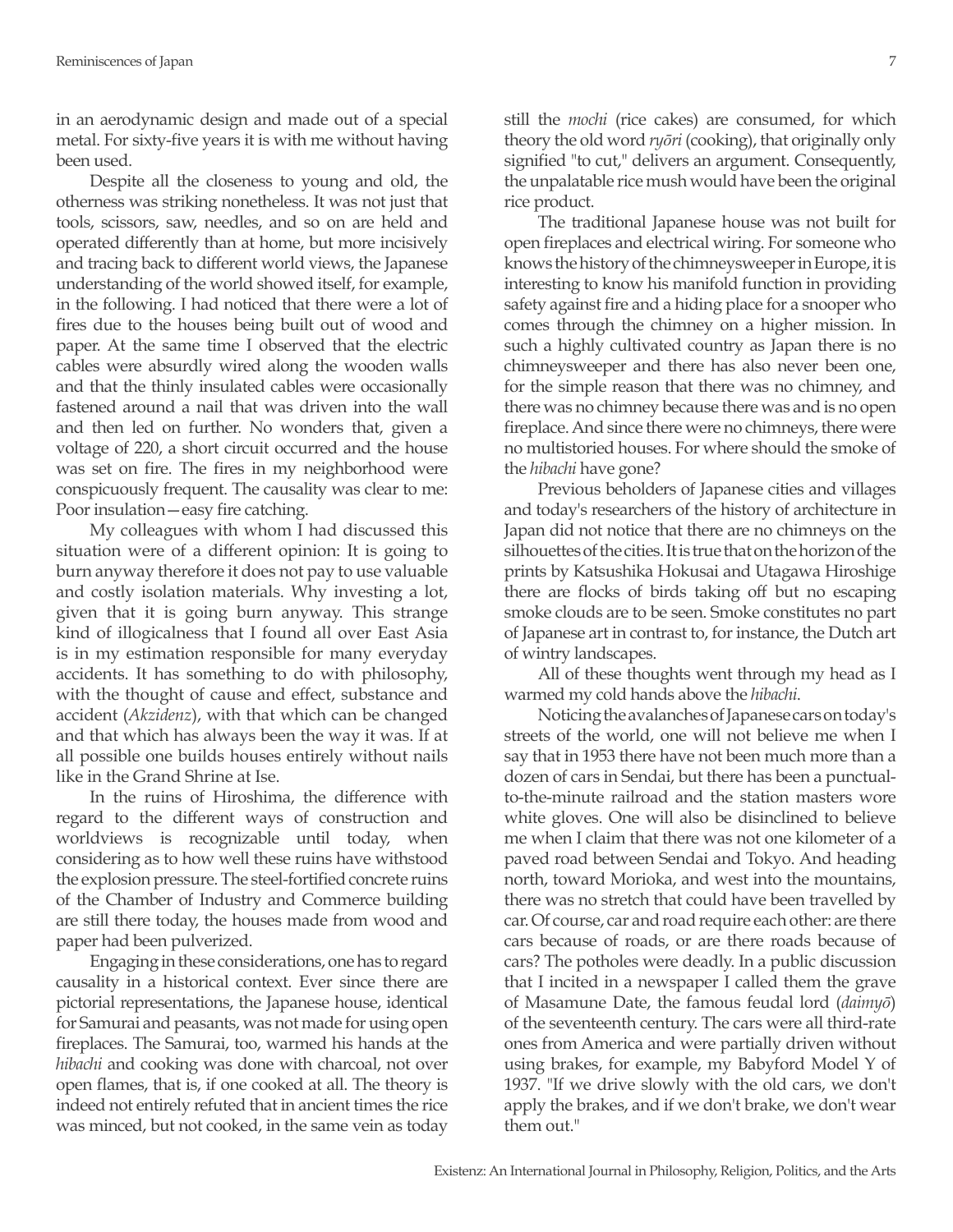in an aerodynamic design and made out of a special metal. For sixty-five years it is with me without having been used.

Despite all the closeness to young and old, the otherness was striking nonetheless. It was not just that tools, scissors, saw, needles, and so on are held and operated differently than at home, but more incisively and tracing back to different world views, the Japanese understanding of the world showed itself, for example, in the following. I had noticed that there were a lot of fires due to the houses being built out of wood and paper. At the same time I observed that the electric cables were absurdly wired along the wooden walls and that the thinly insulated cables were occasionally fastened around a nail that was driven into the wall and then led on further. No wonders that, given a voltage of 220, a short circuit occurred and the house was set on fire. The fires in my neighborhood were conspicuously frequent. The causality was clear to me: Poor insulation—easy fire catching.

My colleagues with whom I had discussed this situation were of a different opinion: It is going to burn anyway therefore it does not pay to use valuable and costly isolation materials. Why investing a lot, given that it is going burn anyway. This strange kind of illogicalness that I found all over East Asia is in my estimation responsible for many everyday accidents. It has something to do with philosophy, with the thought of cause and effect, substance and accident (*Akzidenz*), with that which can be changed and that which has always been the way it was. If at all possible one builds houses entirely without nails like in the Grand Shrine at Ise.

In the ruins of Hiroshima, the difference with regard to the different ways of construction and worldviews is recognizable until today, when considering as to how well these ruins have withstood the explosion pressure. The steel-fortified concrete ruins of the Chamber of Industry and Commerce building are still there today, the houses made from wood and paper had been pulverized.

Engaging in these considerations, one has to regard causality in a historical context. Ever since there are pictorial representations, the Japanese house, identical for Samurai and peasants, was not made for using open fireplaces. The Samurai, too, warmed his hands at the *hibachi* and cooking was done with charcoal, not over open flames, that is, if one cooked at all. The theory is indeed not entirely refuted that in ancient times the rice was minced, but not cooked, in the same vein as today still the *mochi* (rice cakes) are consumed, for which theory the old word *ryōri* (cooking), that originally only signified "to cut," delivers an argument. Consequently, the unpalatable rice mush would have been the original rice product.

The traditional Japanese house was not built for open fireplaces and electrical wiring. For someone who knows the history of the chimneysweeper in Europe, it is interesting to know his manifold function in providing safety against fire and a hiding place for a snooper who comes through the chimney on a higher mission. In such a highly cultivated country as Japan there is no chimneysweeper and there has also never been one, for the simple reason that there was no chimney, and there was no chimney because there was and is no open fireplace. And since there were no chimneys, there were no multistoried houses. For where should the smoke of the *hibachi* have gone?

Previous beholders of Japanese cities and villages and today's researchers of the history of architecture in Japan did not notice that there are no chimneys on the silhouettes of the cities. It is true that on the horizon of the prints by Katsushika Hokusai and Utagawa Hiroshige there are flocks of birds taking off but no escaping smoke clouds are to be seen. Smoke constitutes no part of Japanese art in contrast to, for instance, the Dutch art of wintry landscapes.

All of these thoughts went through my head as I warmed my cold hands above the *hibachi*.

Noticing the avalanches of Japanese cars on today's streets of the world, one will not believe me when I say that in 1953 there have not been much more than a dozen of cars in Sendai, but there has been a punctualto-the-minute railroad and the station masters wore white gloves. One will also be disinclined to believe me when I claim that there was not one kilometer of a paved road between Sendai and Tokyo. And heading north, toward Morioka, and west into the mountains, there was no stretch that could have been travelled by car. Of course, car and road require each other: are there cars because of roads, or are there roads because of cars? The potholes were deadly. In a public discussion that I incited in a newspaper I called them the grave of Masamune Date, the famous feudal lord (*daimyō*) of the seventeenth century. The cars were all third-rate ones from America and were partially driven without using brakes, for example, my Babyford Model Y of 1937. "If we drive slowly with the old cars, we don't apply the brakes, and if we don't brake, we don't wear them out."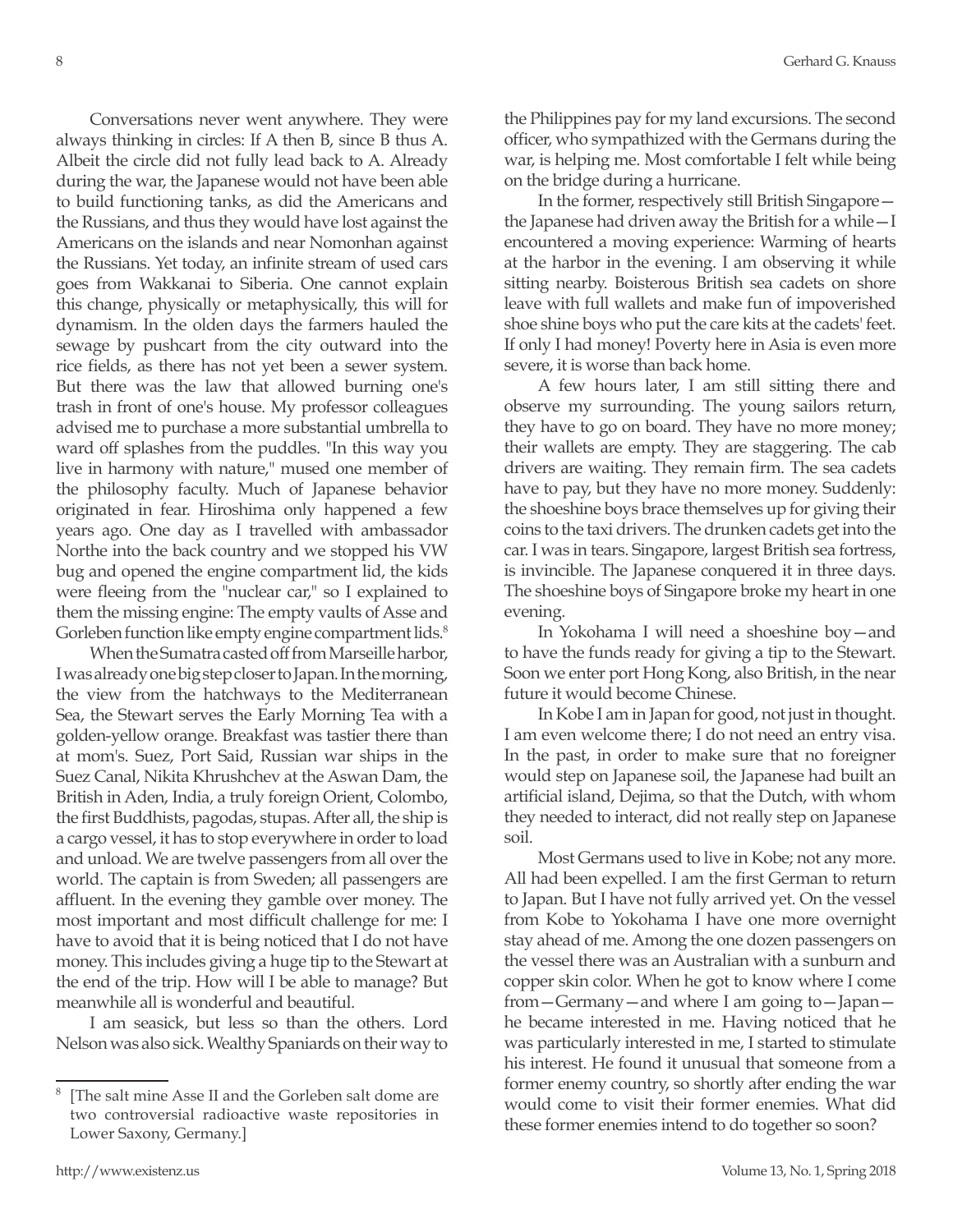Conversations never went anywhere. They were always thinking in circles: If A then B, since B thus A. Albeit the circle did not fully lead back to A. Already during the war, the Japanese would not have been able to build functioning tanks, as did the Americans and the Russians, and thus they would have lost against the Americans on the islands and near Nomonhan against the Russians. Yet today, an infinite stream of used cars goes from Wakkanai to Siberia. One cannot explain this change, physically or metaphysically, this will for dynamism. In the olden days the farmers hauled the sewage by pushcart from the city outward into the rice fields, as there has not yet been a sewer system. But there was the law that allowed burning one's trash in front of one's house. My professor colleagues advised me to purchase a more substantial umbrella to ward off splashes from the puddles. "In this way you live in harmony with nature," mused one member of the philosophy faculty. Much of Japanese behavior originated in fear. Hiroshima only happened a few years ago. One day as I travelled with ambassador Northe into the back country and we stopped his VW bug and opened the engine compartment lid, the kids were fleeing from the "nuclear car," so I explained to them the missing engine: The empty vaults of Asse and Gorleben function like empty engine compartment lids.<sup>8</sup>

When the Sumatra casted off from Marseille harbor, I was already one big step closer to Japan. In the morning, the view from the hatchways to the Mediterranean Sea, the Stewart serves the Early Morning Tea with a golden-yellow orange. Breakfast was tastier there than at mom's. Suez, Port Said, Russian war ships in the Suez Canal, Nikita Khrushchev at the Aswan Dam, the British in Aden, India, a truly foreign Orient, Colombo, the first Buddhists, pagodas, stupas. After all, the ship is a cargo vessel, it has to stop everywhere in order to load and unload. We are twelve passengers from all over the world. The captain is from Sweden; all passengers are affluent. In the evening they gamble over money. The most important and most difficult challenge for me: I have to avoid that it is being noticed that I do not have money. This includes giving a huge tip to the Stewart at the end of the trip. How will I be able to manage? But meanwhile all is wonderful and beautiful.

I am seasick, but less so than the others. Lord Nelson was also sick. Wealthy Spaniards on their way to

the Philippines pay for my land excursions. The second officer, who sympathized with the Germans during the war, is helping me. Most comfortable I felt while being on the bridge during a hurricane.

In the former, respectively still British Singapore the Japanese had driven away the British for a while—I encountered a moving experience: Warming of hearts at the harbor in the evening. I am observing it while sitting nearby. Boisterous British sea cadets on shore leave with full wallets and make fun of impoverished shoe shine boys who put the care kits at the cadets' feet. If only I had money! Poverty here in Asia is even more severe, it is worse than back home.

A few hours later, I am still sitting there and observe my surrounding. The young sailors return, they have to go on board. They have no more money; their wallets are empty. They are staggering. The cab drivers are waiting. They remain firm. The sea cadets have to pay, but they have no more money. Suddenly: the shoeshine boys brace themselves up for giving their coins to the taxi drivers. The drunken cadets get into the car. I was in tears. Singapore, largest British sea fortress, is invincible. The Japanese conquered it in three days. The shoeshine boys of Singapore broke my heart in one evening.

In Yokohama I will need a shoeshine boy—and to have the funds ready for giving a tip to the Stewart. Soon we enter port Hong Kong, also British, in the near future it would become Chinese.

In Kobe I am in Japan for good, not just in thought. I am even welcome there; I do not need an entry visa. In the past, in order to make sure that no foreigner would step on Japanese soil, the Japanese had built an artificial island, Dejima, so that the Dutch, with whom they needed to interact, did not really step on Japanese soil.

Most Germans used to live in Kobe; not any more. All had been expelled. I am the first German to return to Japan. But I have not fully arrived yet. On the vessel from Kobe to Yokohama I have one more overnight stay ahead of me. Among the one dozen passengers on the vessel there was an Australian with a sunburn and copper skin color. When he got to know where I come from—Germany—and where I am going to—Japan he became interested in me. Having noticed that he was particularly interested in me, I started to stimulate his interest. He found it unusual that someone from a former enemy country, so shortly after ending the war would come to visit their former enemies. What did these former enemies intend to do together so soon?

<sup>[</sup>The salt mine Asse II and the Gorleben salt dome are two controversial radioactive waste repositories in Lower Saxony, Germany.]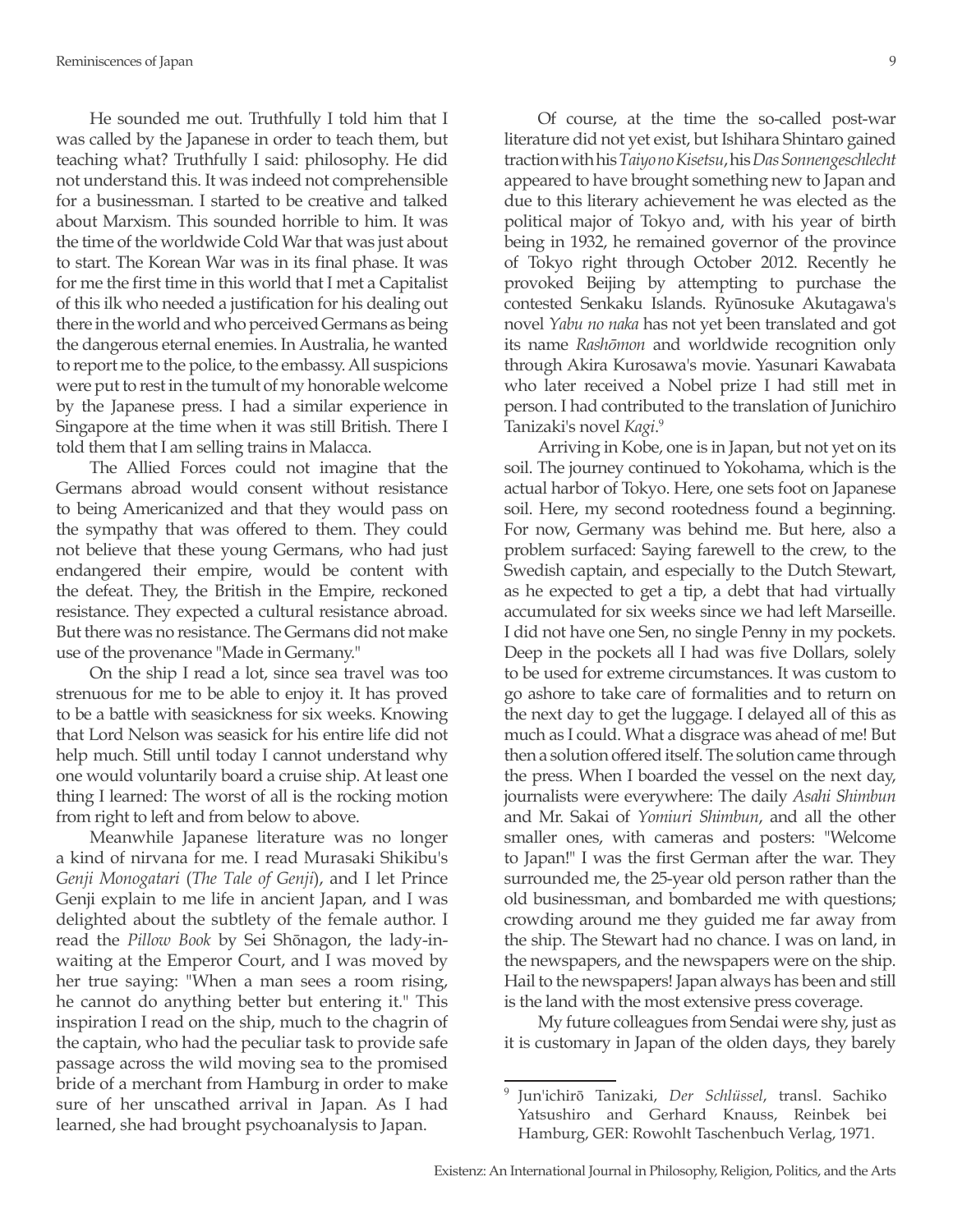He sounded me out. Truthfully I told him that I was called by the Japanese in order to teach them, but teaching what? Truthfully I said: philosophy. He did not understand this. It was indeed not comprehensible for a businessman. I started to be creative and talked about Marxism. This sounded horrible to him. It was the time of the worldwide Cold War that was just about to start. The Korean War was in its final phase. It was for me the first time in this world that I met a Capitalist of this ilk who needed a justification for his dealing out there in the world and who perceived Germans as being the dangerous eternal enemies. In Australia, he wanted to report me to the police, to the embassy. All suspicions were put to rest in the tumult of my honorable welcome by the Japanese press. I had a similar experience in Singapore at the time when it was still British. There I told them that I am selling trains in Malacca.

The Allied Forces could not imagine that the Germans abroad would consent without resistance to being Americanized and that they would pass on the sympathy that was offered to them. They could not believe that these young Germans, who had just endangered their empire, would be content with the defeat. They, the British in the Empire, reckoned resistance. They expected a cultural resistance abroad. But there was no resistance. The Germans did not make use of the provenance "Made in Germany."

On the ship I read a lot, since sea travel was too strenuous for me to be able to enjoy it. It has proved to be a battle with seasickness for six weeks. Knowing that Lord Nelson was seasick for his entire life did not help much. Still until today I cannot understand why one would voluntarily board a cruise ship. At least one thing I learned: The worst of all is the rocking motion from right to left and from below to above.

Meanwhile Japanese literature was no longer a kind of nirvana for me. I read Murasaki Shikibu's *Genji Monogatari* (*The Tale of Genji*), and I let Prince Genji explain to me life in ancient Japan, and I was delighted about the subtlety of the female author. I read the *Pillow Book* by Sei Shōnagon, the lady-inwaiting at the Emperor Court, and I was moved by her true saying: "When a man sees a room rising, he cannot do anything better but entering it." This inspiration I read on the ship, much to the chagrin of the captain, who had the peculiar task to provide safe passage across the wild moving sea to the promised bride of a merchant from Hamburg in order to make sure of her unscathed arrival in Japan. As I had learned, she had brought psychoanalysis to Japan.

Of course, at the time the so-called post-war literature did not yet exist, but Ishihara Shintaro gained traction with his *Taiyo no Kisetsu*, his *Das Sonnengeschlecht* appeared to have brought something new to Japan and due to this literary achievement he was elected as the political major of Tokyo and, with his year of birth being in 1932, he remained governor of the province of Tokyo right through October 2012. Recently he provoked Beijing by attempting to purchase the contested Senkaku Islands. Ryūnosuke Akutagawa's novel *Yabu no naka* has not yet been translated and got its name *Rashōmon* and worldwide recognition only through Akira Kurosawa's movie. Yasunari Kawabata who later received a Nobel prize I had still met in person. I had contributed to the translation of Junichiro Tanizaki's novel *Kagi*. 9

Arriving in Kobe, one is in Japan, but not yet on its soil. The journey continued to Yokohama, which is the actual harbor of Tokyo. Here, one sets foot on Japanese soil. Here, my second rootedness found a beginning. For now, Germany was behind me. But here, also a problem surfaced: Saying farewell to the crew, to the Swedish captain, and especially to the Dutch Stewart, as he expected to get a tip, a debt that had virtually accumulated for six weeks since we had left Marseille. I did not have one Sen, no single Penny in my pockets. Deep in the pockets all I had was five Dollars, solely to be used for extreme circumstances. It was custom to go ashore to take care of formalities and to return on the next day to get the luggage. I delayed all of this as much as I could. What a disgrace was ahead of me! But then a solution offered itself. The solution came through the press. When I boarded the vessel on the next day, journalists were everywhere: The daily *Asahi Shimbun* and Mr. Sakai of *Yomiuri Shimbun*, and all the other smaller ones, with cameras and posters: "Welcome to Japan!" I was the first German after the war. They surrounded me, the 25-year old person rather than the old businessman, and bombarded me with questions; crowding around me they guided me far away from the ship. The Stewart had no chance. I was on land, in the newspapers, and the newspapers were on the ship. Hail to the newspapers! Japan always has been and still is the land with the most extensive press coverage.

My future colleagues from Sendai were shy, just as it is customary in Japan of the olden days, they barely

<sup>9</sup> Jun'ichirō Tanizaki, *Der Schlüssel*, transl. Sachiko Yatsushiro and Gerhard Knauss, Reinbek bei Hamburg, GER: Rowohlt Taschenbuch Verlag, 1971.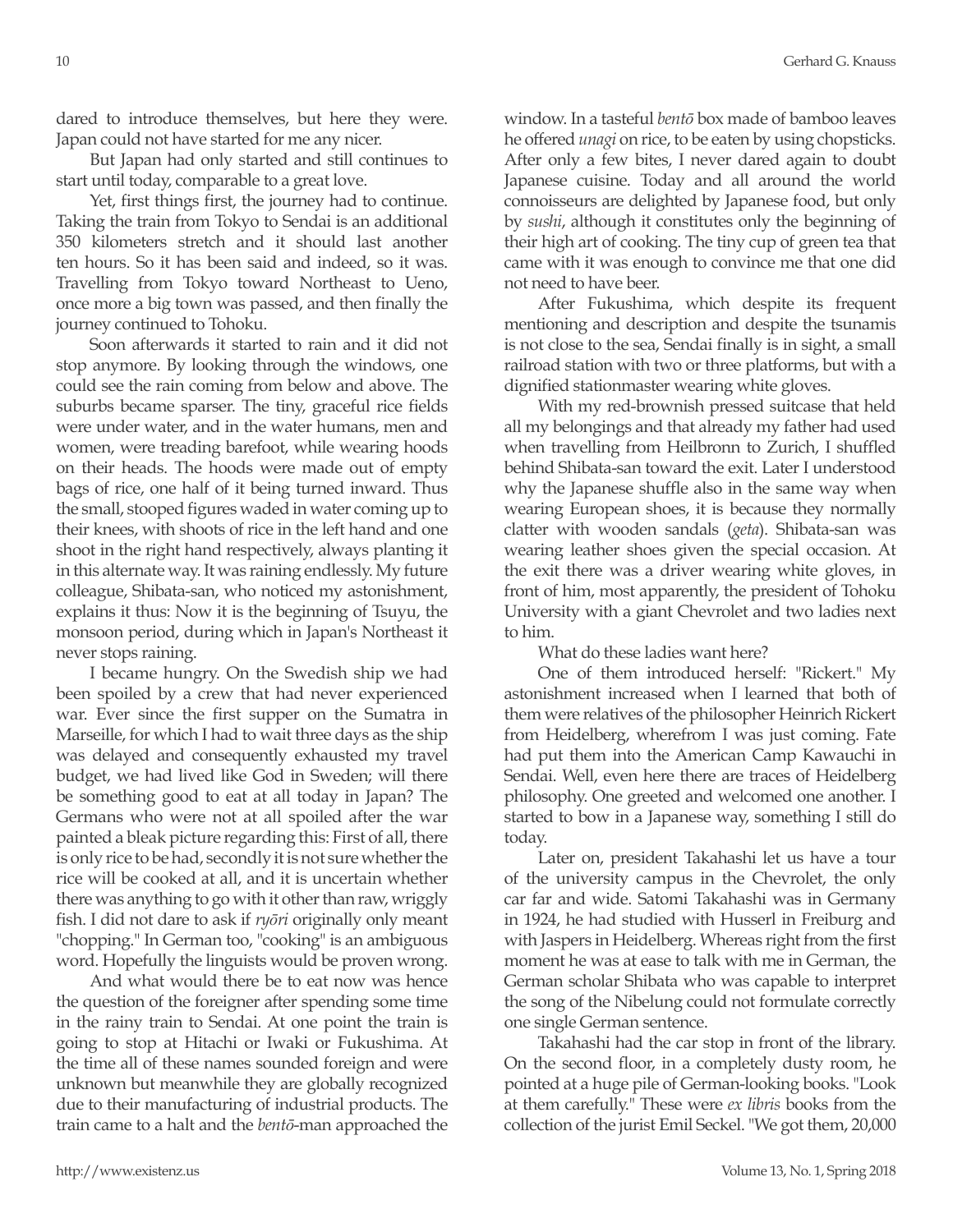dared to introduce themselves, but here they were. Japan could not have started for me any nicer.

But Japan had only started and still continues to start until today, comparable to a great love.

Yet, first things first, the journey had to continue. Taking the train from Tokyo to Sendai is an additional 350 kilometers stretch and it should last another ten hours. So it has been said and indeed, so it was. Travelling from Tokyo toward Northeast to Ueno, once more a big town was passed, and then finally the journey continued to Tohoku.

Soon afterwards it started to rain and it did not stop anymore. By looking through the windows, one could see the rain coming from below and above. The suburbs became sparser. The tiny, graceful rice fields were under water, and in the water humans, men and women, were treading barefoot, while wearing hoods on their heads. The hoods were made out of empty bags of rice, one half of it being turned inward. Thus the small, stooped figures waded in water coming up to their knees, with shoots of rice in the left hand and one shoot in the right hand respectively, always planting it in this alternate way. It was raining endlessly. My future colleague, Shibata-san, who noticed my astonishment, explains it thus: Now it is the beginning of Tsuyu, the monsoon period, during which in Japan's Northeast it never stops raining.

I became hungry. On the Swedish ship we had been spoiled by a crew that had never experienced war. Ever since the first supper on the Sumatra in Marseille, for which I had to wait three days as the ship was delayed and consequently exhausted my travel budget, we had lived like God in Sweden; will there be something good to eat at all today in Japan? The Germans who were not at all spoiled after the war painted a bleak picture regarding this: First of all, there is only rice to be had, secondly it is not sure whether the rice will be cooked at all, and it is uncertain whether there was anything to go with it other than raw, wriggly fish. I did not dare to ask if *ryōri* originally only meant "chopping." In German too, "cooking" is an ambiguous word. Hopefully the linguists would be proven wrong.

And what would there be to eat now was hence the question of the foreigner after spending some time in the rainy train to Sendai. At one point the train is going to stop at Hitachi or Iwaki or Fukushima. At the time all of these names sounded foreign and were unknown but meanwhile they are globally recognized due to their manufacturing of industrial products. The train came to a halt and the *bentō*-man approached the window. In a tasteful *bentō* box made of bamboo leaves he offered *unagi* on rice, to be eaten by using chopsticks. After only a few bites, I never dared again to doubt Japanese cuisine. Today and all around the world connoisseurs are delighted by Japanese food, but only by *sushi*, although it constitutes only the beginning of their high art of cooking. The tiny cup of green tea that came with it was enough to convince me that one did not need to have beer.

After Fukushima, which despite its frequent mentioning and description and despite the tsunamis is not close to the sea, Sendai finally is in sight, a small railroad station with two or three platforms, but with a dignified stationmaster wearing white gloves.

With my red-brownish pressed suitcase that held all my belongings and that already my father had used when travelling from Heilbronn to Zurich, I shuffled behind Shibata-san toward the exit. Later I understood why the Japanese shuffle also in the same way when wearing European shoes, it is because they normally clatter with wooden sandals (*geta*). Shibata-san was wearing leather shoes given the special occasion. At the exit there was a driver wearing white gloves, in front of him, most apparently, the president of Tohoku University with a giant Chevrolet and two ladies next to him.

What do these ladies want here?

One of them introduced herself: "Rickert." My astonishment increased when I learned that both of them were relatives of the philosopher Heinrich Rickert from Heidelberg, wherefrom I was just coming. Fate had put them into the American Camp Kawauchi in Sendai. Well, even here there are traces of Heidelberg philosophy. One greeted and welcomed one another. I started to bow in a Japanese way, something I still do today.

Later on, president Takahashi let us have a tour of the university campus in the Chevrolet, the only car far and wide. Satomi Takahashi was in Germany in 1924, he had studied with Husserl in Freiburg and with Jaspers in Heidelberg. Whereas right from the first moment he was at ease to talk with me in German, the German scholar Shibata who was capable to interpret the song of the Nibelung could not formulate correctly one single German sentence.

Takahashi had the car stop in front of the library. On the second floor, in a completely dusty room, he pointed at a huge pile of German-looking books. "Look at them carefully." These were *ex libris* books from the collection of the jurist Emil Seckel. "We got them, 20,000